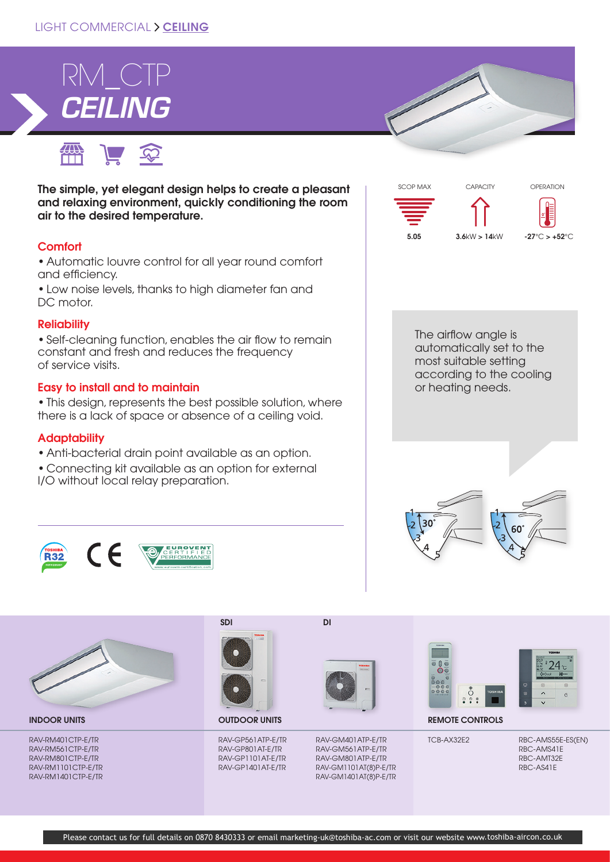## LIGHT COMMERCIAL > CEILING



● ■ ● ■ The simple, yet elegant design helps to create a pleasant and relaxing environment, quickly conditioning the room

## **Comfort**

• Automatic louvre control for all year round comfort and efficiency.

• Low noise levels, thanks to high diameter fan and DC motor.

### **Reliability**

• Self-cleaning function, enables the air flow to remain constant and fresh and reduces the frequency of service visits.

### Easy to install and to maintain

air to the desired temperature.

• This design, represents the best possible solution, where there is a lack of space or absence of a ceiling void.

## **Adaptability**

- Anti-bacterial drain point available as an option.
- Connecting kit available as an option for external I/O without local relay preparation.





TCB-AX32E2 RBC-AMS55E-ES(EN) RBC-AMS41E RBC-AMT32E RBC-AS41E





RAV-RM401CTP-E/TR RAV-RM561CTP-E/TR RAV-RM801CTP-E/TR RAV-RM1101CTP-E/TR RAV-RM1401CTP-E/TR



RAV-GP561ATP-E/TR RAV-GP801AT-E/TR RAV-GP1101AT-E/TR RAV-GP1401AT-E/TR



RAV-GM401ATP-E/TR RAV-GM561ATP-E/TR RAV-GM801ATP-E/TR RAV-GM1101AT(8)P-E/TR RAV-GM1401AT(8)P-E/TR